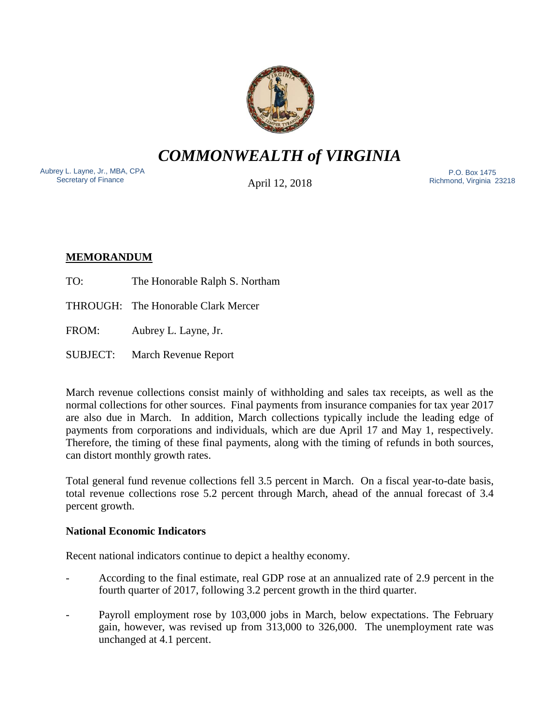

*COMMONWEALTH of VIRGINIA*

Aubrey L. Layne, Jr., MBA, CPA Secretary of Finance

April 12, 2018

 P.O. Box 1475 Richmond, Virginia 23218

# **MEMORANDUM**

TO: The Honorable Ralph S. Northam

THROUGH: The Honorable Clark Mercer

FROM: Aubrey L. Layne, Jr.

SUBJECT: March Revenue Report

March revenue collections consist mainly of withholding and sales tax receipts, as well as the normal collections for other sources. Final payments from insurance companies for tax year 2017 are also due in March. In addition, March collections typically include the leading edge of payments from corporations and individuals, which are due April 17 and May 1, respectively. Therefore, the timing of these final payments, along with the timing of refunds in both sources, can distort monthly growth rates.

Total general fund revenue collections fell 3.5 percent in March. On a fiscal year-to-date basis, total revenue collections rose 5.2 percent through March, ahead of the annual forecast of 3.4 percent growth.

# **National Economic Indicators**

Recent national indicators continue to depict a healthy economy.

- According to the final estimate, real GDP rose at an annualized rate of 2.9 percent in the fourth quarter of 2017, following 3.2 percent growth in the third quarter.
- Payroll employment rose by 103,000 jobs in March, below expectations. The February gain, however, was revised up from 313,000 to 326,000. The unemployment rate was unchanged at 4.1 percent.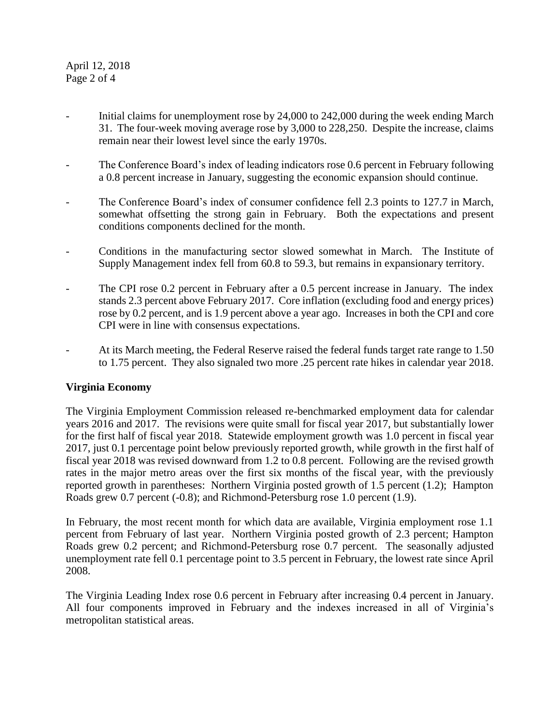### April 12, 2018 Page 2 of 4

- Initial claims for unemployment rose by 24,000 to 242,000 during the week ending March 31. The four-week moving average rose by 3,000 to 228,250. Despite the increase, claims remain near their lowest level since the early 1970s.
- The Conference Board's index of leading indicators rose 0.6 percent in February following a 0.8 percent increase in January, suggesting the economic expansion should continue.
- The Conference Board's index of consumer confidence fell 2.3 points to 127.7 in March, somewhat offsetting the strong gain in February. Both the expectations and present conditions components declined for the month.
- Conditions in the manufacturing sector slowed somewhat in March. The Institute of Supply Management index fell from 60.8 to 59.3, but remains in expansionary territory.
- The CPI rose 0.2 percent in February after a 0.5 percent increase in January. The index stands 2.3 percent above February 2017. Core inflation (excluding food and energy prices) rose by 0.2 percent, and is 1.9 percent above a year ago. Increases in both the CPI and core CPI were in line with consensus expectations.
- At its March meeting, the Federal Reserve raised the federal funds target rate range to 1.50 to 1.75 percent. They also signaled two more .25 percent rate hikes in calendar year 2018.

# **Virginia Economy**

The Virginia Employment Commission released re-benchmarked employment data for calendar years 2016 and 2017. The revisions were quite small for fiscal year 2017, but substantially lower for the first half of fiscal year 2018. Statewide employment growth was 1.0 percent in fiscal year 2017, just 0.1 percentage point below previously reported growth, while growth in the first half of fiscal year 2018 was revised downward from 1.2 to 0.8 percent. Following are the revised growth rates in the major metro areas over the first six months of the fiscal year, with the previously reported growth in parentheses: Northern Virginia posted growth of 1.5 percent (1.2); Hampton Roads grew 0.7 percent (-0.8); and Richmond-Petersburg rose 1.0 percent (1.9).

In February, the most recent month for which data are available, Virginia employment rose 1.1 percent from February of last year. Northern Virginia posted growth of 2.3 percent; Hampton Roads grew 0.2 percent; and Richmond-Petersburg rose 0.7 percent. The seasonally adjusted unemployment rate fell 0.1 percentage point to 3.5 percent in February, the lowest rate since April 2008.

The Virginia Leading Index rose 0.6 percent in February after increasing 0.4 percent in January. All four components improved in February and the indexes increased in all of Virginia's metropolitan statistical areas.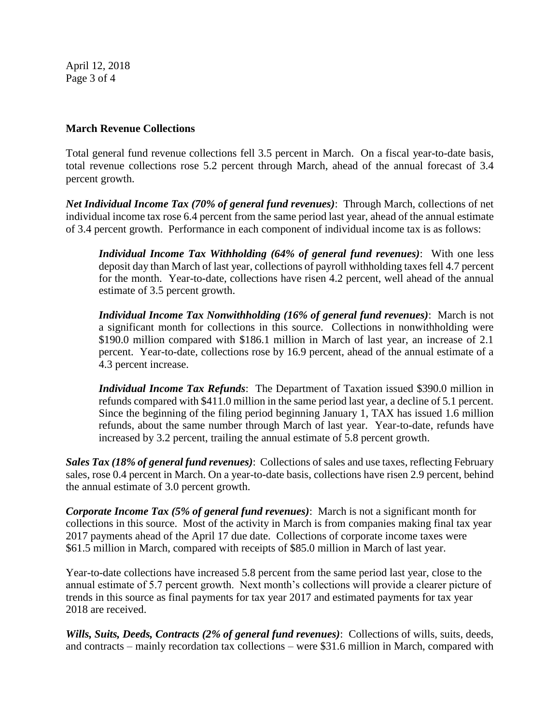April 12, 2018 Page 3 of 4

## **March Revenue Collections**

Total general fund revenue collections fell 3.5 percent in March. On a fiscal year-to-date basis, total revenue collections rose 5.2 percent through March, ahead of the annual forecast of 3.4 percent growth.

*Net Individual Income Tax (70% of general fund revenues)*: Through March, collections of net individual income tax rose 6.4 percent from the same period last year, ahead of the annual estimate of 3.4 percent growth. Performance in each component of individual income tax is as follows:

*Individual Income Tax Withholding (64% of general fund revenues)*: With one less deposit day than March of last year, collections of payroll withholding taxes fell 4.7 percent for the month. Year-to-date, collections have risen 4.2 percent, well ahead of the annual estimate of 3.5 percent growth.

*Individual Income Tax Nonwithholding (16% of general fund revenues)*: March is not a significant month for collections in this source. Collections in nonwithholding were \$190.0 million compared with \$186.1 million in March of last year, an increase of 2.1 percent. Year-to-date, collections rose by 16.9 percent, ahead of the annual estimate of a 4.3 percent increase.

*Individual Income Tax Refunds*: The Department of Taxation issued \$390.0 million in refunds compared with \$411.0 million in the same period last year, a decline of 5.1 percent. Since the beginning of the filing period beginning January 1, TAX has issued 1.6 million refunds, about the same number through March of last year. Year-to-date, refunds have increased by 3.2 percent, trailing the annual estimate of 5.8 percent growth.

*Sales Tax (18% of general fund revenues)*: Collections of sales and use taxes, reflecting February sales, rose 0.4 percent in March. On a year-to-date basis, collections have risen 2.9 percent, behind the annual estimate of 3.0 percent growth.

*Corporate Income Tax (5% of general fund revenues)*: March is not a significant month for collections in this source. Most of the activity in March is from companies making final tax year 2017 payments ahead of the April 17 due date. Collections of corporate income taxes were \$61.5 million in March, compared with receipts of \$85.0 million in March of last year.

Year-to-date collections have increased 5.8 percent from the same period last year, close to the annual estimate of 5.7 percent growth. Next month's collections will provide a clearer picture of trends in this source as final payments for tax year 2017 and estimated payments for tax year 2018 are received.

*Wills, Suits, Deeds, Contracts (2% of general fund revenues)*: Collections of wills, suits, deeds, and contracts – mainly recordation tax collections – were \$31.6 million in March, compared with